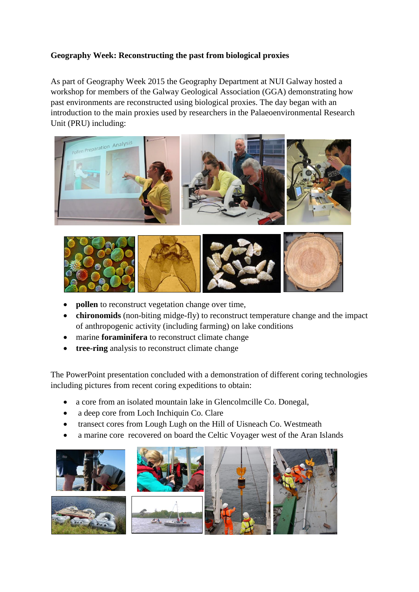## **Geography Week: Reconstructing the past from biological proxies**

As part of Geography Week 2015 the Geography Department at NUI Galway hosted a workshop for members of the Galway Geological Association (GGA) demonstrating how past environments are reconstructed using biological proxies. The day began with an introduction to the main proxies used by researchers in the Palaeoenvironmental Research Unit (PRU) including:





- **pollen** to reconstruct vegetation change over time,
- **chironomids** (non-biting midge-fly) to reconstruct temperature change and the impact of anthropogenic activity (including farming) on lake conditions
- marine **foraminifera** to reconstruct climate change
- **tree-ring** analysis to reconstruct climate change

The PowerPoint presentation concluded with a demonstration of different coring technologies including pictures from recent coring expeditions to obtain:

- a core from an isolated mountain lake in Glencolmcille Co. Donegal,
- a deep core from Loch Inchiquin Co. Clare
- transect cores from Lough Lugh on the Hill of Uisneach Co. Westmeath
- a marine core recovered on board the Celtic Voyager west of the Aran Islands